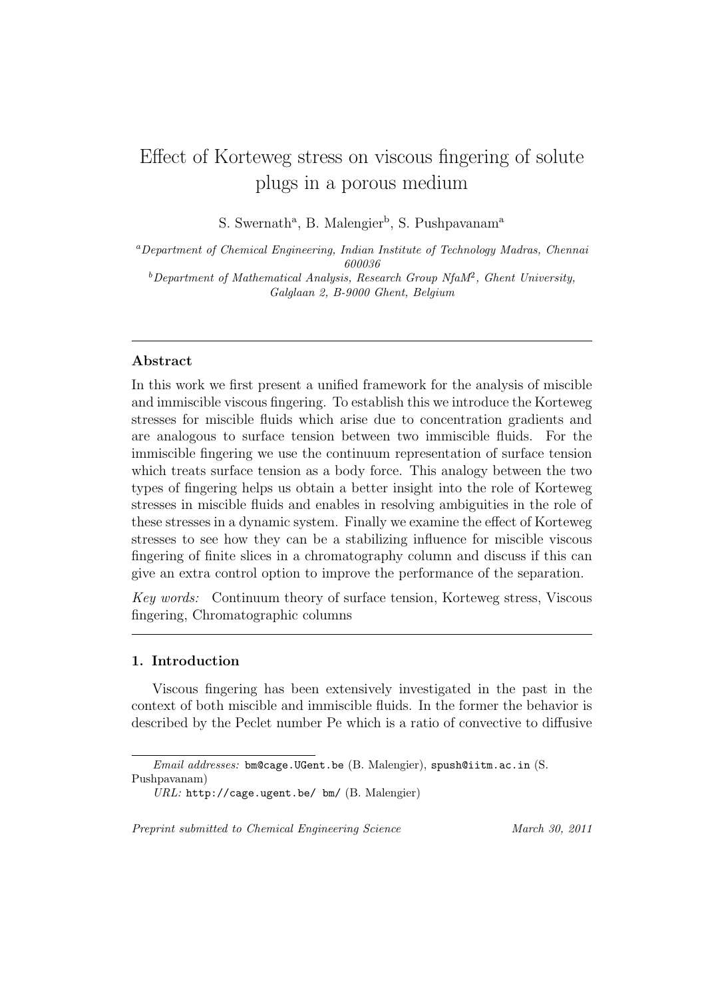# Effect of Korteweg stress on viscous fingering of solute plugs in a porous medium

S. Swernath<sup>a</sup>, B. Malengier<sup>b</sup>, S. Pushpavanam<sup>a</sup>

*<sup>a</sup>Department of Chemical Engineering, Indian Institute of Technology Madras, Chennai 600036 <sup>b</sup>Department of Mathematical Analysis, Research Group NfaM*<sup>2</sup> *, Ghent University,*

*Galglaan 2, B-9000 Ghent, Belgium*

# **Abstract**

In this work we first present a unified framework for the analysis of miscible and immiscible viscous fingering. To establish this we introduce the Korteweg stresses for miscible fluids which arise due to concentration gradients and are analogous to surface tension between two immiscible fluids. For the immiscible fingering we use the continuum representation of surface tension which treats surface tension as a body force. This analogy between the two types of fingering helps us obtain a better insight into the role of Korteweg stresses in miscible fluids and enables in resolving ambiguities in the role of these stresses in a dynamic system. Finally we examine the effect of Korteweg stresses to see how they can be a stabilizing influence for miscible viscous fingering of finite slices in a chromatography column and discuss if this can give an extra control option to improve the performance of the separation.

*Key words:* Continuum theory of surface tension, Korteweg stress, Viscous fingering, Chromatographic columns

# **1. Introduction**

Viscous fingering has been extensively investigated in the past in the context of both miscible and immiscible fluids. In the former the behavior is described by the Peclet number Pe which is a ratio of convective to diffusive

*Preprint submitted to Chemical Engineering Science March 30, 2011*

*Email addresses:* bm@cage.UGent.be (B. Malengier), spush@iitm.ac.in (S. Pushpavanam)

*URL:* http://cage.ugent.be/ bm/ (B. Malengier)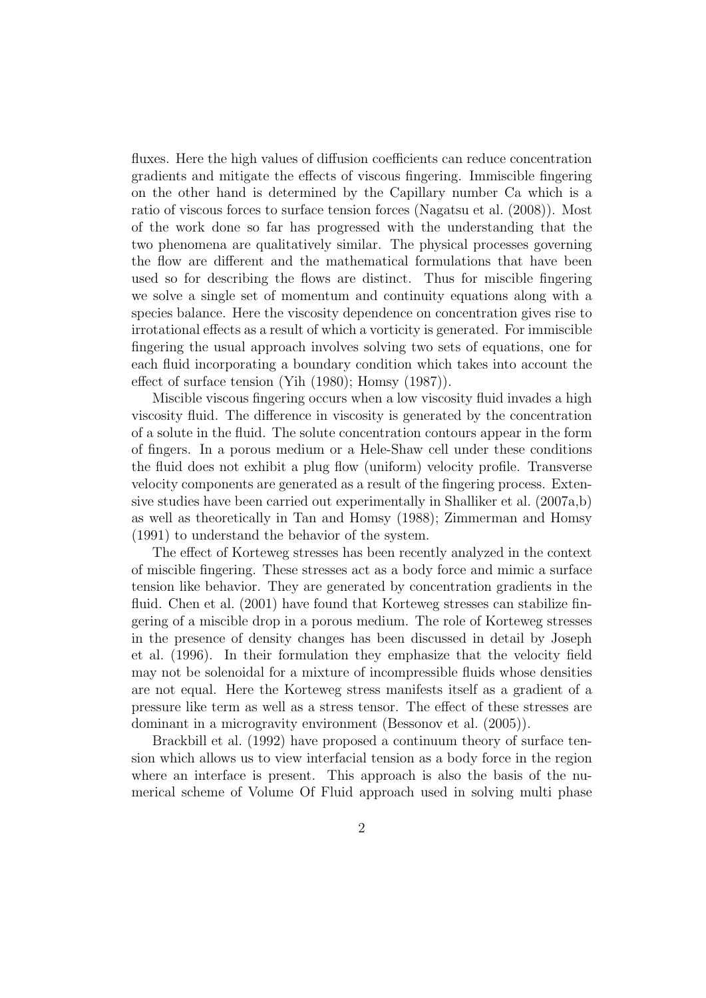fluxes. Here the high values of diffusion coefficients can reduce concentration gradients and mitigate the effects of viscous fingering. Immiscible fingering on the other hand is determined by the Capillary number Ca which is a ratio of viscous forces to surface tension forces (Nagatsu et al. (2008)). Most of the work done so far has progressed with the understanding that the two phenomena are qualitatively similar. The physical processes governing the flow are different and the mathematical formulations that have been used so for describing the flows are distinct. Thus for miscible fingering we solve a single set of momentum and continuity equations along with a species balance. Here the viscosity dependence on concentration gives rise to irrotational effects as a result of which a vorticity is generated. For immiscible fingering the usual approach involves solving two sets of equations, one for each fluid incorporating a boundary condition which takes into account the effect of surface tension (Yih (1980); Homsy (1987)).

Miscible viscous fingering occurs when a low viscosity fluid invades a high viscosity fluid. The difference in viscosity is generated by the concentration of a solute in the fluid. The solute concentration contours appear in the form of fingers. In a porous medium or a Hele-Shaw cell under these conditions the fluid does not exhibit a plug flow (uniform) velocity profile. Transverse velocity components are generated as a result of the fingering process. Extensive studies have been carried out experimentally in Shalliker et al. (2007a,b) as well as theoretically in Tan and Homsy (1988); Zimmerman and Homsy (1991) to understand the behavior of the system.

The effect of Korteweg stresses has been recently analyzed in the context of miscible fingering. These stresses act as a body force and mimic a surface tension like behavior. They are generated by concentration gradients in the fluid. Chen et al. (2001) have found that Korteweg stresses can stabilize fingering of a miscible drop in a porous medium. The role of Korteweg stresses in the presence of density changes has been discussed in detail by Joseph et al. (1996). In their formulation they emphasize that the velocity field may not be solenoidal for a mixture of incompressible fluids whose densities are not equal. Here the Korteweg stress manifests itself as a gradient of a pressure like term as well as a stress tensor. The effect of these stresses are dominant in a microgravity environment (Bessonov et al. (2005)).

Brackbill et al. (1992) have proposed a continuum theory of surface tension which allows us to view interfacial tension as a body force in the region where an interface is present. This approach is also the basis of the numerical scheme of Volume Of Fluid approach used in solving multi phase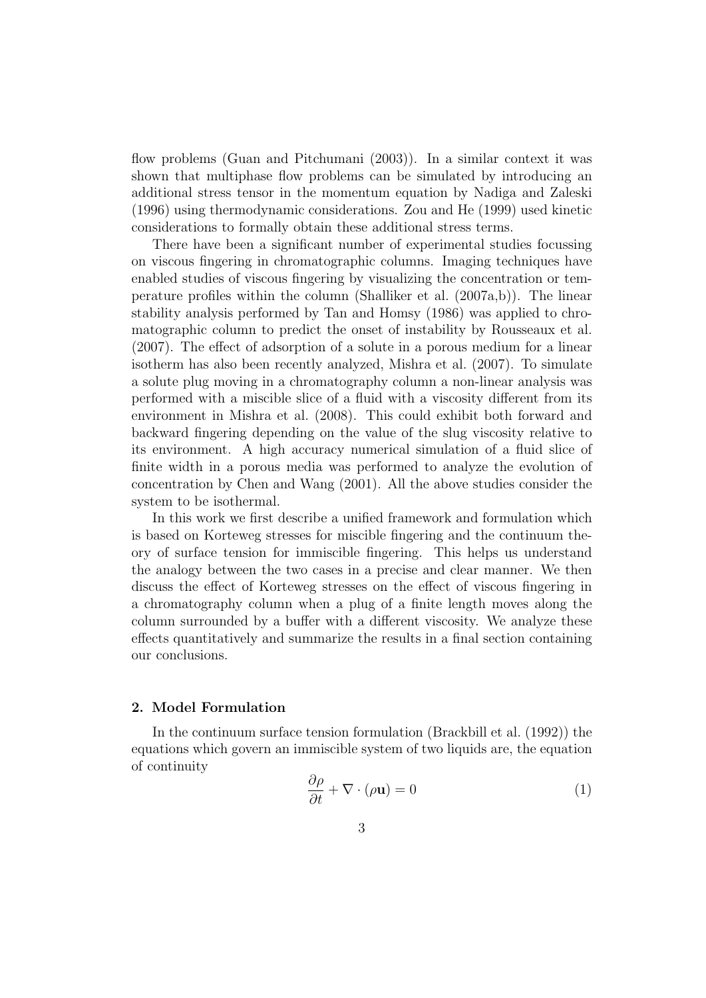flow problems (Guan and Pitchumani (2003)). In a similar context it was shown that multiphase flow problems can be simulated by introducing an additional stress tensor in the momentum equation by Nadiga and Zaleski (1996) using thermodynamic considerations. Zou and He (1999) used kinetic considerations to formally obtain these additional stress terms.

There have been a significant number of experimental studies focussing on viscous fingering in chromatographic columns. Imaging techniques have enabled studies of viscous fingering by visualizing the concentration or temperature profiles within the column (Shalliker et al. (2007a,b)). The linear stability analysis performed by Tan and Homsy (1986) was applied to chromatographic column to predict the onset of instability by Rousseaux et al. (2007). The effect of adsorption of a solute in a porous medium for a linear isotherm has also been recently analyzed, Mishra et al. (2007). To simulate a solute plug moving in a chromatography column a non-linear analysis was performed with a miscible slice of a fluid with a viscosity different from its environment in Mishra et al. (2008). This could exhibit both forward and backward fingering depending on the value of the slug viscosity relative to its environment. A high accuracy numerical simulation of a fluid slice of finite width in a porous media was performed to analyze the evolution of concentration by Chen and Wang (2001). All the above studies consider the system to be isothermal.

In this work we first describe a unified framework and formulation which is based on Korteweg stresses for miscible fingering and the continuum theory of surface tension for immiscible fingering. This helps us understand the analogy between the two cases in a precise and clear manner. We then discuss the effect of Korteweg stresses on the effect of viscous fingering in a chromatography column when a plug of a finite length moves along the column surrounded by a buffer with a different viscosity. We analyze these effects quantitatively and summarize the results in a final section containing our conclusions.

# **2. Model Formulation**

In the continuum surface tension formulation (Brackbill et al. (1992)) the equations which govern an immiscible system of two liquids are, the equation of continuity

$$
\frac{\partial \rho}{\partial t} + \nabla \cdot (\rho \mathbf{u}) = 0 \tag{1}
$$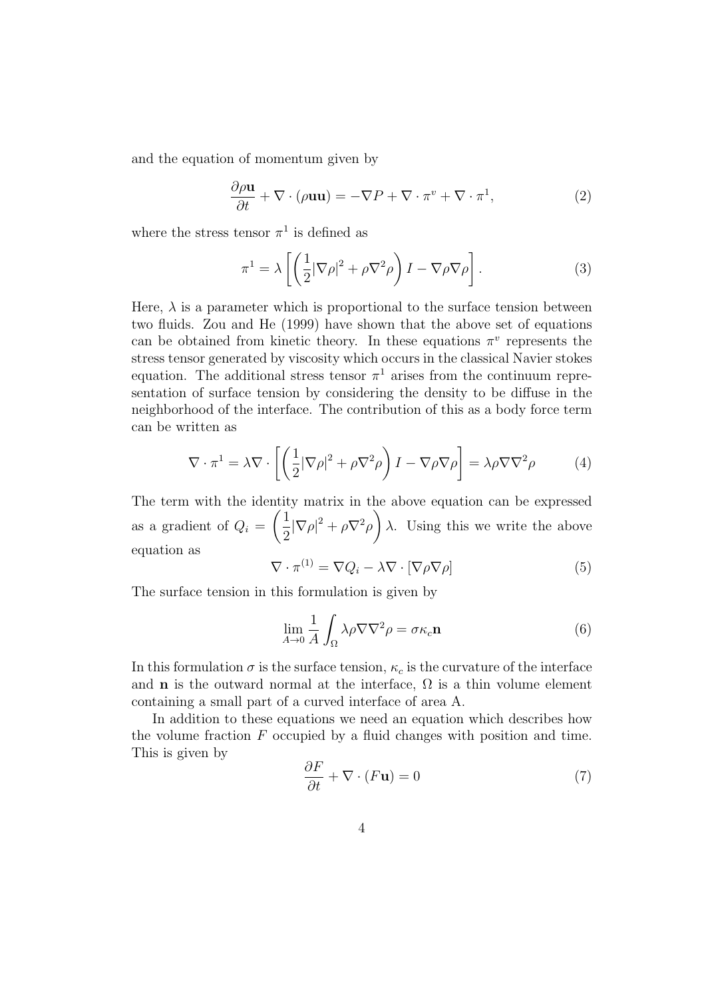and the equation of momentum given by

$$
\frac{\partial \rho \mathbf{u}}{\partial t} + \nabla \cdot (\rho \mathbf{u} \mathbf{u}) = -\nabla P + \nabla \cdot \pi^v + \nabla \cdot \pi^1,\tag{2}
$$

where the stress tensor  $\pi^1$  is defined as

$$
\pi^1 = \lambda \left[ \left( \frac{1}{2} |\nabla \rho|^2 + \rho \nabla^2 \rho \right) I - \nabla \rho \nabla \rho \right]. \tag{3}
$$

Here,  $\lambda$  is a parameter which is proportional to the surface tension between two fluids. Zou and He (1999) have shown that the above set of equations can be obtained from kinetic theory. In these equations  $\pi^v$  represents the stress tensor generated by viscosity which occurs in the classical Navier stokes equation. The additional stress tensor  $\pi^1$  arises from the continuum representation of surface tension by considering the density to be diffuse in the neighborhood of the interface. The contribution of this as a body force term can be written as

$$
\nabla \cdot \pi^1 = \lambda \nabla \cdot \left[ \left( \frac{1}{2} |\nabla \rho|^2 + \rho \nabla^2 \rho \right) I - \nabla \rho \nabla \rho \right] = \lambda \rho \nabla \nabla^2 \rho \tag{4}
$$

The term with the identity matrix in the above equation can be expressed as a gradient of  $Q_i =$  $(1)$  $\frac{1}{2}|\nabla\rho|^2 + \rho\nabla^2\rho\bigg)$ *λ*. Using this we write the above equation as

$$
\nabla \cdot \pi^{(1)} = \nabla Q_i - \lambda \nabla \cdot [\nabla \rho \nabla \rho]
$$
 (5)

The surface tension in this formulation is given by

$$
\lim_{A \to 0} \frac{1}{A} \int_{\Omega} \lambda \rho \nabla \nabla^2 \rho = \sigma \kappa_c \mathbf{n}
$$
 (6)

In this formulation  $\sigma$  is the surface tension,  $\kappa_c$  is the curvature of the interface and **n** is the outward normal at the interface,  $\Omega$  is a thin volume element containing a small part of a curved interface of area A.

In addition to these equations we need an equation which describes how the volume fraction *F* occupied by a fluid changes with position and time. This is given by

$$
\frac{\partial F}{\partial t} + \nabla \cdot (F \mathbf{u}) = 0 \tag{7}
$$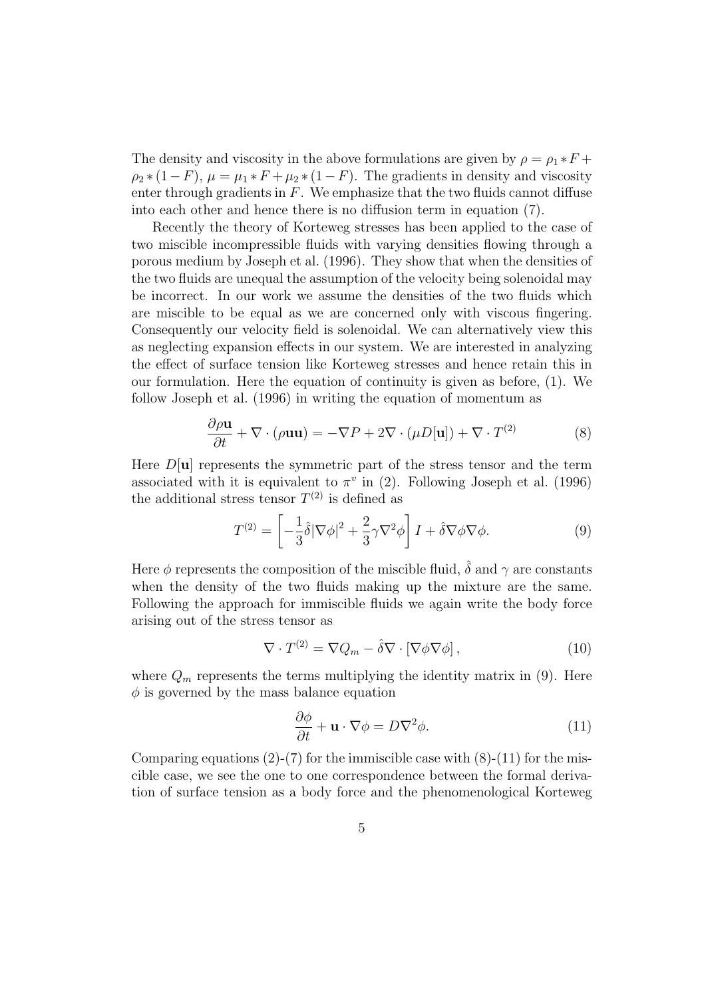The density and viscosity in the above formulations are given by  $\rho = \rho_1 * F +$  $\rho_2 * (1 - F)$ ,  $\mu = \mu_1 * F + \mu_2 * (1 - F)$ . The gradients in density and viscosity enter through gradients in  $F$ . We emphasize that the two fluids cannot diffuse into each other and hence there is no diffusion term in equation (7).

Recently the theory of Korteweg stresses has been applied to the case of two miscible incompressible fluids with varying densities flowing through a porous medium by Joseph et al. (1996). They show that when the densities of the two fluids are unequal the assumption of the velocity being solenoidal may be incorrect. In our work we assume the densities of the two fluids which are miscible to be equal as we are concerned only with viscous fingering. Consequently our velocity field is solenoidal. We can alternatively view this as neglecting expansion effects in our system. We are interested in analyzing the effect of surface tension like Korteweg stresses and hence retain this in our formulation. Here the equation of continuity is given as before, (1). We follow Joseph et al. (1996) in writing the equation of momentum as

$$
\frac{\partial \rho \mathbf{u}}{\partial t} + \nabla \cdot (\rho \mathbf{u} \mathbf{u}) = -\nabla P + 2\nabla \cdot (\mu D[\mathbf{u}]) + \nabla \cdot T^{(2)} \tag{8}
$$

Here  $D[\mathbf{u}]$  represents the symmetric part of the stress tensor and the term associated with it is equivalent to  $\pi^v$  in (2). Following Joseph et al. (1996) the additional stress tensor  $T^{(2)}$  is defined as

$$
T^{(2)} = \left[ -\frac{1}{3}\hat{\delta}|\nabla\phi|^2 + \frac{2}{3}\gamma\nabla^2\phi \right]I + \hat{\delta}\nabla\phi\nabla\phi.
$$
 (9)

Here  $\phi$  represents the composition of the miscible fluid,  $\hat{\delta}$  and  $\gamma$  are constants when the density of the two fluids making up the mixture are the same. Following the approach for immiscible fluids we again write the body force arising out of the stress tensor as

$$
\nabla \cdot T^{(2)} = \nabla Q_m - \hat{\delta} \nabla \cdot [\nabla \phi \nabla \phi], \qquad (10)
$$

where  $Q_m$  represents the terms multiplying the identity matrix in  $(9)$ . Here  $\phi$  is governed by the mass balance equation

$$
\frac{\partial \phi}{\partial t} + \mathbf{u} \cdot \nabla \phi = D \nabla^2 \phi.
$$
 (11)

Comparing equations (2)-(7) for the immiscible case with  $(8)-(11)$  for the miscible case, we see the one to one correspondence between the formal derivation of surface tension as a body force and the phenomenological Korteweg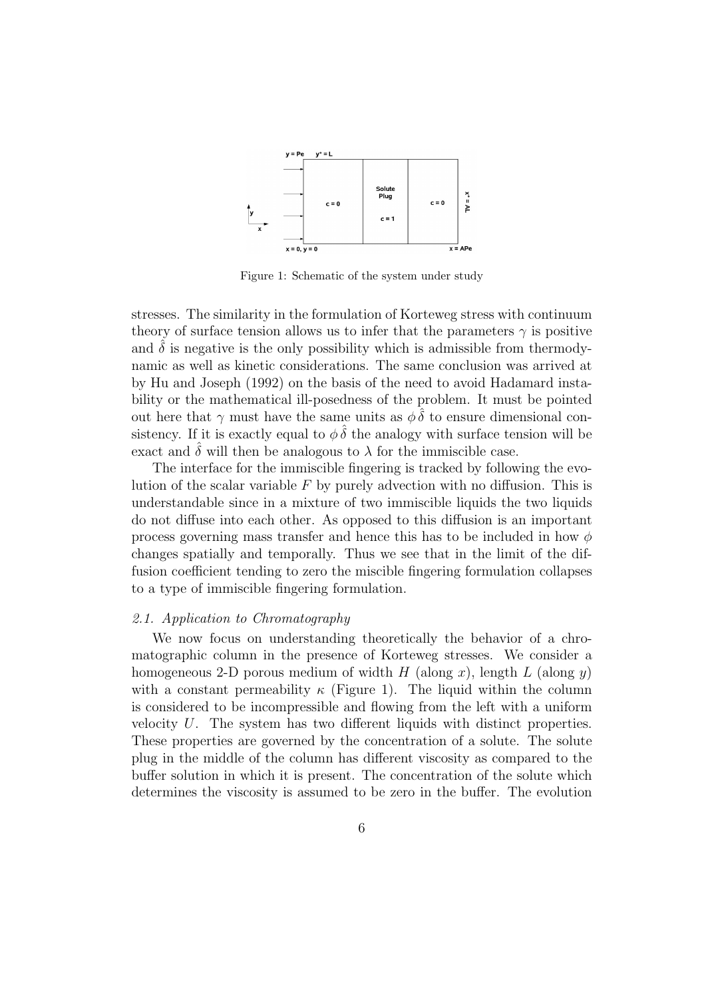

Figure 1: Schematic of the system under study

stresses. The similarity in the formulation of Korteweg stress with continuum theory of surface tension allows us to infer that the parameters  $\gamma$  is positive and  $\delta$  is negative is the only possibility which is admissible from thermodynamic as well as kinetic considerations. The same conclusion was arrived at by Hu and Joseph (1992) on the basis of the need to avoid Hadamard instability or the mathematical ill-posedness of the problem. It must be pointed out here that  $\gamma$  must have the same units as  $\phi \delta$  to ensure dimensional consistency. If it is exactly equal to  $\phi \hat{\delta}$  the analogy with surface tension will be exact and  $\delta$  will then be analogous to  $\lambda$  for the immiscible case.

The interface for the immiscible fingering is tracked by following the evolution of the scalar variable *F* by purely advection with no diffusion. This is understandable since in a mixture of two immiscible liquids the two liquids do not diffuse into each other. As opposed to this diffusion is an important process governing mass transfer and hence this has to be included in how *φ* changes spatially and temporally. Thus we see that in the limit of the diffusion coefficient tending to zero the miscible fingering formulation collapses to a type of immiscible fingering formulation.

#### *2.1. Application to Chromatography*

We now focus on understanding theoretically the behavior of a chromatographic column in the presence of Korteweg stresses. We consider a homogeneous 2-D porous medium of width *H* (along *x*), length *L* (along *y*) with a constant permeability  $\kappa$  (Figure 1). The liquid within the column is considered to be incompressible and flowing from the left with a uniform velocity *U*. The system has two different liquids with distinct properties. These properties are governed by the concentration of a solute. The solute plug in the middle of the column has different viscosity as compared to the buffer solution in which it is present. The concentration of the solute which determines the viscosity is assumed to be zero in the buffer. The evolution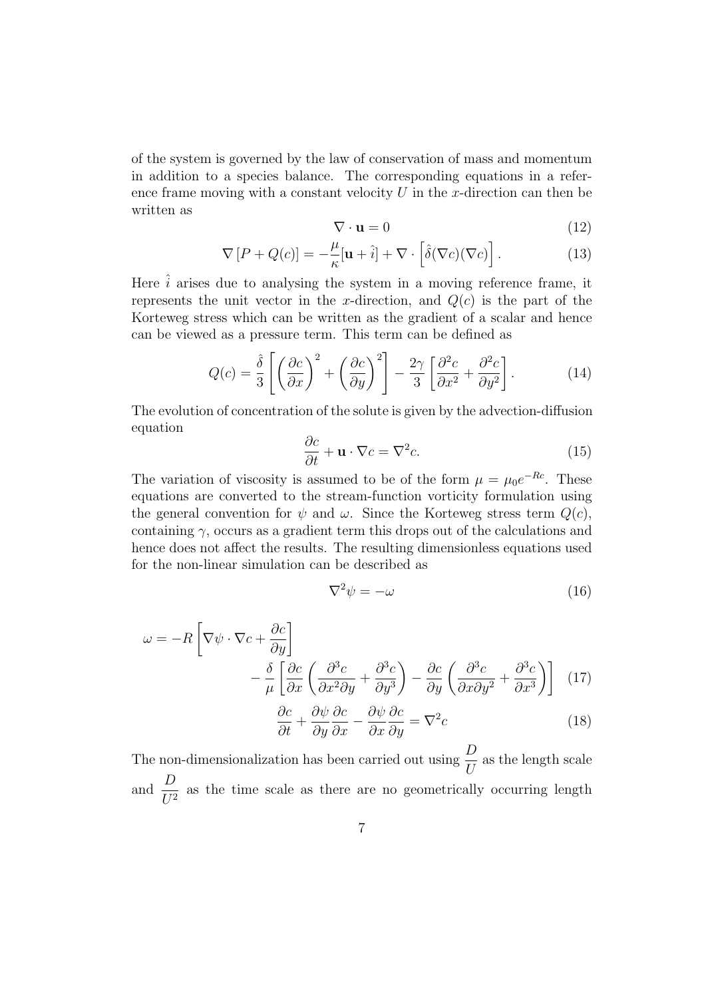of the system is governed by the law of conservation of mass and momentum in addition to a species balance. The corresponding equations in a reference frame moving with a constant velocity *U* in the *x*-direction can then be written as

$$
\nabla \cdot \mathbf{u} = 0 \tag{12}
$$

$$
\nabla \left[ P + Q(c) \right] = -\frac{\mu}{\kappa} [\mathbf{u} + \hat{i}] + \nabla \cdot \left[ \hat{\delta}(\nabla c)(\nabla c) \right]. \tag{13}
$$

Here  $\hat{i}$  arises due to analysing the system in a moving reference frame, it represents the unit vector in the *x*-direction, and  $Q(c)$  is the part of the Korteweg stress which can be written as the gradient of a scalar and hence can be viewed as a pressure term. This term can be defined as

$$
Q(c) = \frac{\hat{\delta}}{3} \left[ \left( \frac{\partial c}{\partial x} \right)^2 + \left( \frac{\partial c}{\partial y} \right)^2 \right] - \frac{2\gamma}{3} \left[ \frac{\partial^2 c}{\partial x^2} + \frac{\partial^2 c}{\partial y^2} \right].
$$
 (14)

The evolution of concentration of the solute is given by the advection-diffusion equation

$$
\frac{\partial c}{\partial t} + \mathbf{u} \cdot \nabla c = \nabla^2 c. \tag{15}
$$

The variation of viscosity is assumed to be of the form  $\mu = \mu_0 e^{-Rc}$ . These equations are converted to the stream-function vorticity formulation using the general convention for  $\psi$  and  $\omega$ . Since the Korteweg stress term  $Q(c)$ , containing  $\gamma$ , occurs as a gradient term this drops out of the calculations and hence does not affect the results. The resulting dimensionless equations used for the non-linear simulation can be described as

$$
\nabla^2 \psi = -\omega \tag{16}
$$

$$
\omega = -R \left[ \nabla \psi \cdot \nabla c + \frac{\partial c}{\partial y} \right]
$$

$$
- \frac{\delta}{\mu} \left[ \frac{\partial c}{\partial x} \left( \frac{\partial^3 c}{\partial x^2 \partial y} + \frac{\partial^3 c}{\partial y^3} \right) - \frac{\partial c}{\partial y} \left( \frac{\partial^3 c}{\partial x \partial y^2} + \frac{\partial^3 c}{\partial x^3} \right) \right] (17)
$$

$$
\frac{\partial c}{\partial t} + \frac{\partial \psi}{\partial y} \frac{\partial c}{\partial x} - \frac{\partial \psi}{\partial x} \frac{\partial c}{\partial y} = \nabla^2 c
$$
(18)

$$
\overline{\partial t} + \overline{\partial y} \overline{\partial x} - \overline{\partial x} \overline{\partial y} = \nabla^2 c
$$
 (18)  
The non-dimensionalization has been carried out using  $\frac{D}{U}$  as the length scale  
and  $\frac{D}{U^2}$  as the time scale as there are no geometrically occurring length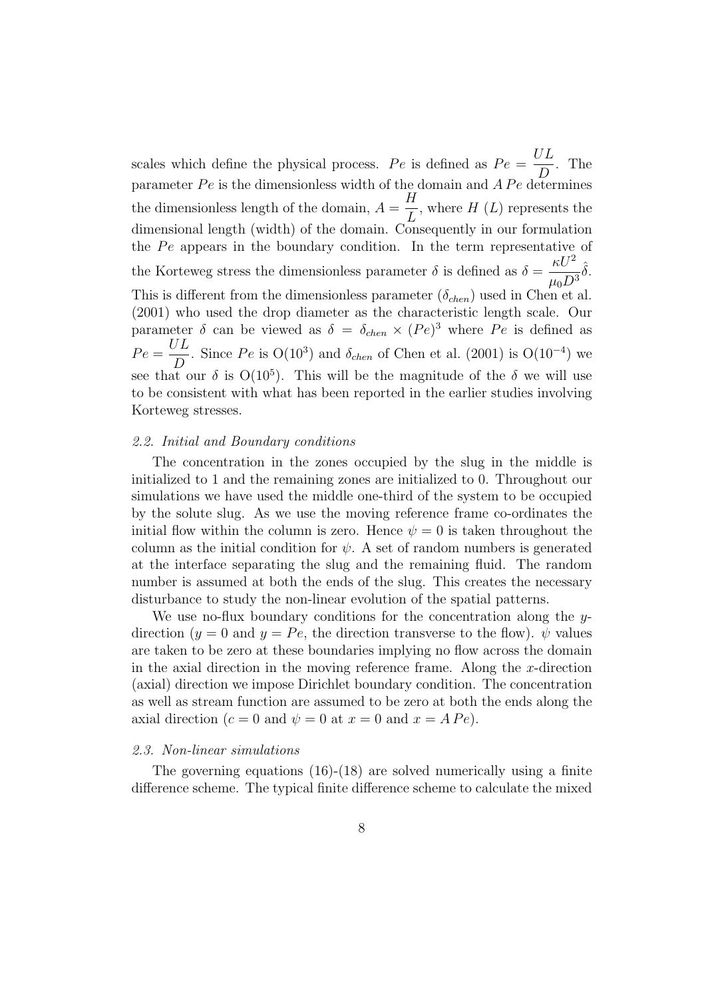scales which define the physical process.  $Pe$  is defined as  $Pe =$ *UL D* . The parameter  $Pe$  is the dimensionless width of the domain and  $\overrightarrow{APe}$  determines the dimensionless length of the domain,  $A =$ *H L* , where *H* (*L*) represents the dimensional length (width) of the domain. Consequently in our formulation the *Pe* appears in the boundary condition. In the term representative of the Korteweg stress the dimensionless parameter  $\delta$  is defined as  $\delta =$  $\kappa U^2$  $\mu_0 D^3$ ˆ*δ*. This is different from the dimensionless parameter  $(\delta_{chem})$  used in Chen et al. (2001) who used the drop diameter as the characteristic length scale. Our parameter  $\delta$  can be viewed as  $\delta = \delta_{chem} \times (Pe)^3$  where  $Pe$  is defined as  $Pe =$ *UL D* . Since  $Pe$  is  $O(10^3)$  and  $\delta_{chen}$  of Chen et al. (2001) is  $O(10^{-4})$  we see that our  $\delta$  is  $O(10^5)$ . This will be the magnitude of the  $\delta$  we will use to be consistent with what has been reported in the earlier studies involving Korteweg stresses.

#### *2.2. Initial and Boundary conditions*

The concentration in the zones occupied by the slug in the middle is initialized to 1 and the remaining zones are initialized to 0. Throughout our simulations we have used the middle one-third of the system to be occupied by the solute slug. As we use the moving reference frame co-ordinates the initial flow within the column is zero. Hence  $\psi = 0$  is taken throughout the column as the initial condition for  $\psi$ . A set of random numbers is generated at the interface separating the slug and the remaining fluid. The random number is assumed at both the ends of the slug. This creates the necessary disturbance to study the non-linear evolution of the spatial patterns.

We use no-flux boundary conditions for the concentration along the *y*direction  $(y = 0$  and  $y = Pe$ , the direction transverse to the flow).  $\psi$  values are taken to be zero at these boundaries implying no flow across the domain in the axial direction in the moving reference frame. Along the *x*-direction (axial) direction we impose Dirichlet boundary condition. The concentration as well as stream function are assumed to be zero at both the ends along the axial direction ( $c = 0$  and  $\psi = 0$  at  $x = 0$  and  $x = APe$ ).

# *2.3. Non-linear simulations*

The governing equations (16)-(18) are solved numerically using a finite difference scheme. The typical finite difference scheme to calculate the mixed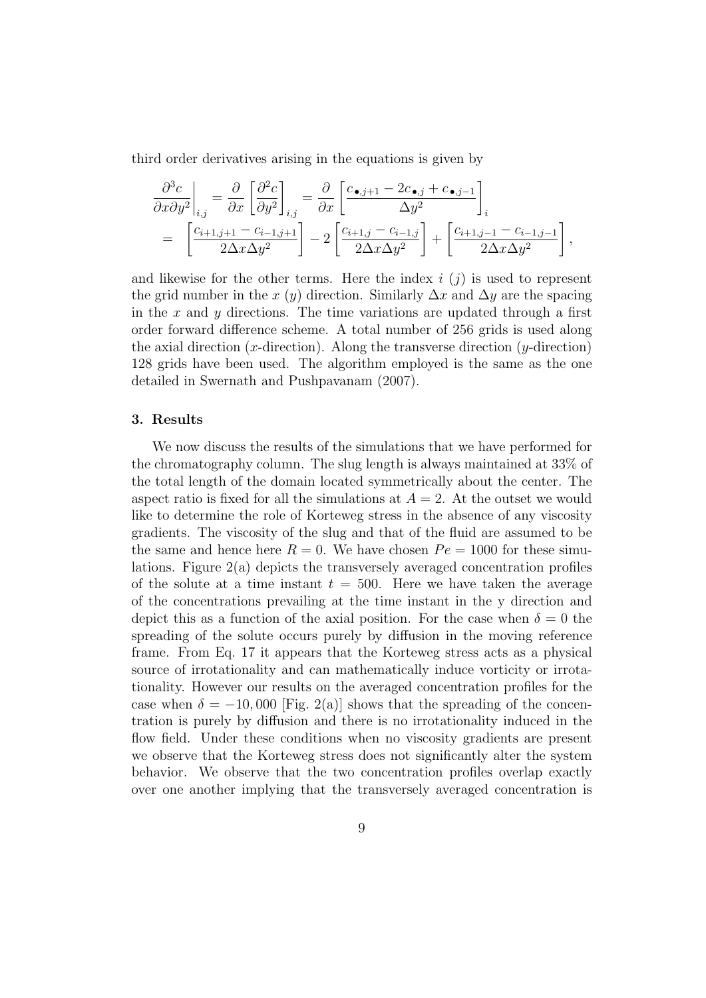third order derivatives arising in the equations is given by

$$
\frac{\partial^3 c}{\partial x \partial y^2}\Big|_{i,j} = \frac{\partial}{\partial x} \left[ \frac{\partial^2 c}{\partial y^2} \right]_{i,j} = \frac{\partial}{\partial x} \left[ \frac{c_{\bullet,j+1} - 2c_{\bullet,j} + c_{\bullet,j-1}}{\Delta y^2} \right]_i
$$
  
= 
$$
\left[ \frac{c_{i+1,j+1} - c_{i-1,j+1}}{2\Delta x \Delta y^2} \right] - 2 \left[ \frac{c_{i+1,j} - c_{i-1,j}}{2\Delta x \Delta y^2} \right] + \left[ \frac{c_{i+1,j-1} - c_{i-1,j-1}}{2\Delta x \Delta y^2} \right],
$$

and likewise for the other terms. Here the index *i* (*j*) is used to represent the grid number in the *x* (*y*) direction. Similarly  $\Delta x$  and  $\Delta y$  are the spacing in the *x* and *y* directions. The time variations are updated through a first order forward difference scheme. A total number of 256 grids is used along the axial direction  $(x\text{-direction})$ . Along the transverse direction  $(y\text{-direction})$ 128 grids have been used. The algorithm employed is the same as the one detailed in Swernath and Pushpavanam (2007).

#### **3. Results**

We now discuss the results of the simulations that we have performed for the chromatography column. The slug length is always maintained at 33% of the total length of the domain located symmetrically about the center. The aspect ratio is fixed for all the simulations at  $A = 2$ . At the outset we would like to determine the role of Korteweg stress in the absence of any viscosity gradients. The viscosity of the slug and that of the fluid are assumed to be the same and hence here  $R = 0$ . We have chosen  $Pe = 1000$  for these simulations. Figure 2(a) depicts the transversely averaged concentration profiles of the solute at a time instant  $t = 500$ . Here we have taken the average of the concentrations prevailing at the time instant in the y direction and depict this as a function of the axial position. For the case when  $\delta = 0$  the spreading of the solute occurs purely by diffusion in the moving reference frame. From Eq. 17 it appears that the Korteweg stress acts as a physical source of irrotationality and can mathematically induce vorticity or irrotationality. However our results on the averaged concentration profiles for the case when  $\delta = -10,000$  [Fig. 2(a)] shows that the spreading of the concentration is purely by diffusion and there is no irrotationality induced in the flow field. Under these conditions when no viscosity gradients are present we observe that the Korteweg stress does not significantly alter the system behavior. We observe that the two concentration profiles overlap exactly over one another implying that the transversely averaged concentration is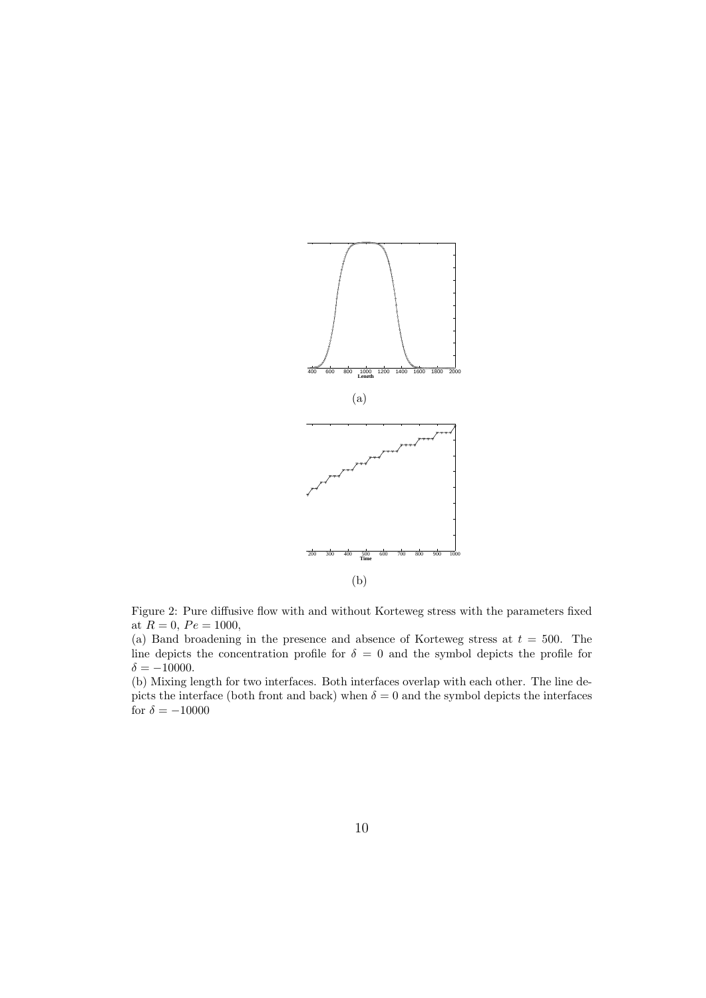

Figure 2: Pure diffusive flow with and without Korteweg stress with the parameters fixed at  $R = 0$ ,  $Pe = 1000$ ,

(a) Band broadening in the presence and absence of Korteweg stress at *t* = 500. The line depicts the concentration profile for  $\delta = 0$  and the symbol depicts the profile for  $\delta = -10000$ .

(b) Mixing length for two interfaces. Both interfaces overlap with each other. The line depicts the interface (both front and back) when  $\delta = 0$  and the symbol depicts the interfaces for  $\delta = -10000$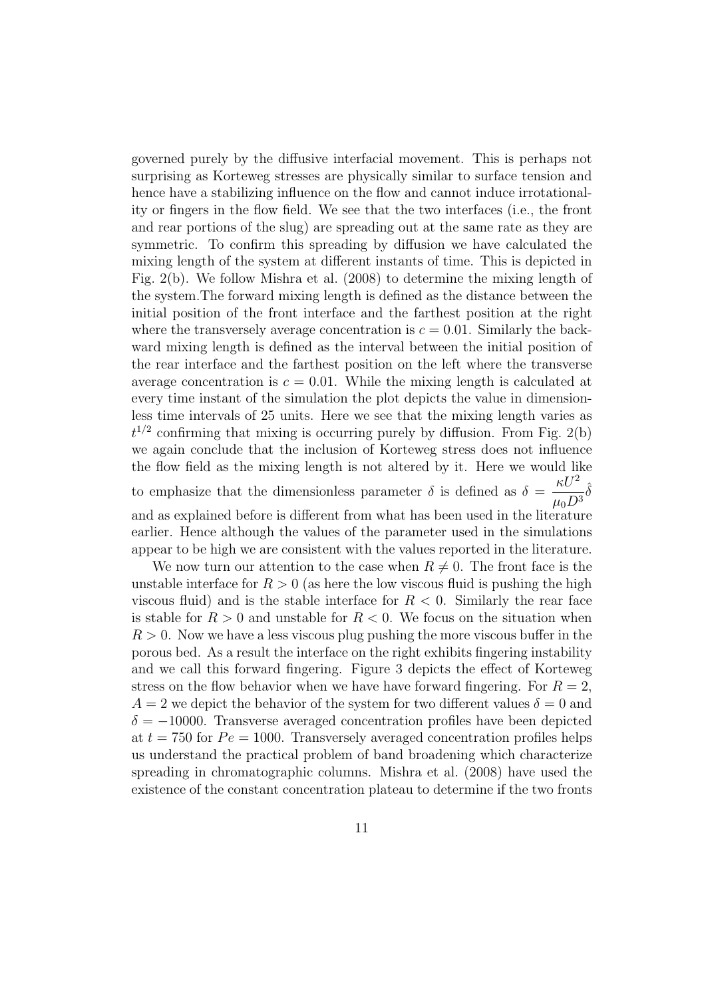governed purely by the diffusive interfacial movement. This is perhaps not surprising as Korteweg stresses are physically similar to surface tension and hence have a stabilizing influence on the flow and cannot induce irrotationality or fingers in the flow field. We see that the two interfaces (i.e., the front and rear portions of the slug) are spreading out at the same rate as they are symmetric. To confirm this spreading by diffusion we have calculated the mixing length of the system at different instants of time. This is depicted in Fig. 2(b). We follow Mishra et al. (2008) to determine the mixing length of the system.The forward mixing length is defined as the distance between the initial position of the front interface and the farthest position at the right where the transversely average concentration is  $c = 0.01$ . Similarly the backward mixing length is defined as the interval between the initial position of the rear interface and the farthest position on the left where the transverse average concentration is  $c = 0.01$ . While the mixing length is calculated at every time instant of the simulation the plot depicts the value in dimensionless time intervals of 25 units. Here we see that the mixing length varies as  $t^{1/2}$  confirming that mixing is occurring purely by diffusion. From Fig. 2(b) we again conclude that the inclusion of Korteweg stress does not influence the flow field as the mixing length is not altered by it. Here we would like to emphasize that the dimensionless parameter  $\delta$  is defined as  $\delta =$  $\kappa U^2$  $\mu_0 D^3$ ˆ*δ* and as explained before is different from what has been used in the literature earlier. Hence although the values of the parameter used in the simulations appear to be high we are consistent with the values reported in the literature.

We now turn our attention to the case when  $R \neq 0$ . The front face is the unstable interface for  $R > 0$  (as here the low viscous fluid is pushing the high viscous fluid) and is the stable interface for  $R < 0$ . Similarly the rear face is stable for  $R > 0$  and unstable for  $R < 0$ . We focus on the situation when  $R > 0$ . Now we have a less viscous plug pushing the more viscous buffer in the porous bed. As a result the interface on the right exhibits fingering instability and we call this forward fingering. Figure 3 depicts the effect of Korteweg stress on the flow behavior when we have have forward fingering. For  $R = 2$ ,  $A = 2$  we depict the behavior of the system for two different values  $\delta = 0$  and *δ* = *−*10000. Transverse averaged concentration profiles have been depicted at  $t = 750$  for  $Pe = 1000$ . Transversely averaged concentration profiles helps us understand the practical problem of band broadening which characterize spreading in chromatographic columns. Mishra et al. (2008) have used the existence of the constant concentration plateau to determine if the two fronts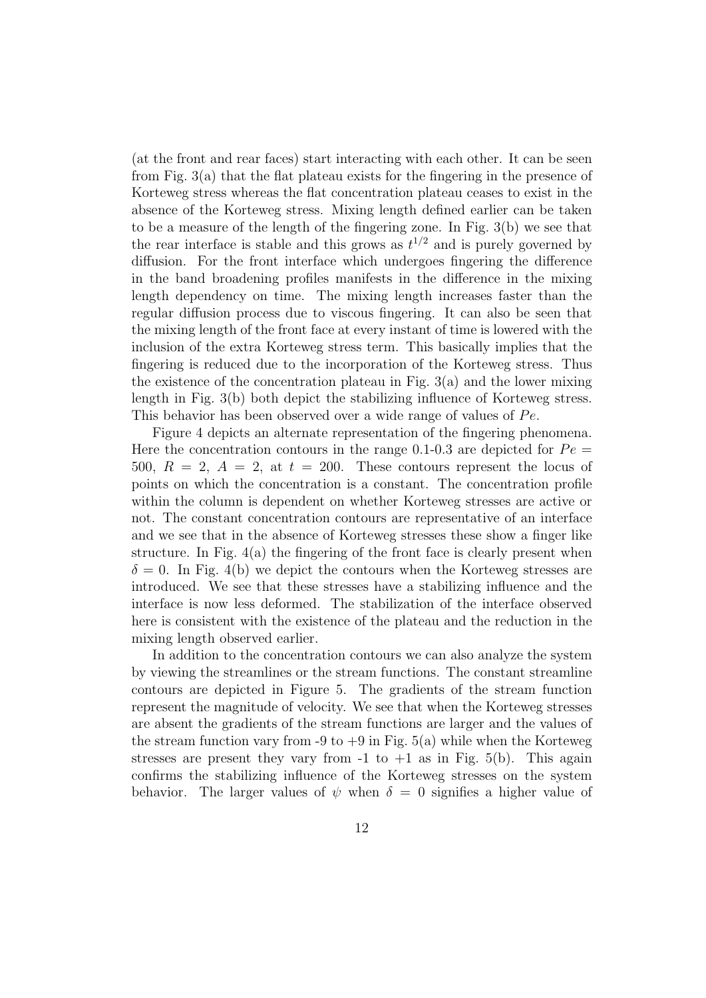(at the front and rear faces) start interacting with each other. It can be seen from Fig. 3(a) that the flat plateau exists for the fingering in the presence of Korteweg stress whereas the flat concentration plateau ceases to exist in the absence of the Korteweg stress. Mixing length defined earlier can be taken to be a measure of the length of the fingering zone. In Fig. 3(b) we see that the rear interface is stable and this grows as  $t^{1/2}$  and is purely governed by diffusion. For the front interface which undergoes fingering the difference in the band broadening profiles manifests in the difference in the mixing length dependency on time. The mixing length increases faster than the regular diffusion process due to viscous fingering. It can also be seen that the mixing length of the front face at every instant of time is lowered with the inclusion of the extra Korteweg stress term. This basically implies that the fingering is reduced due to the incorporation of the Korteweg stress. Thus the existence of the concentration plateau in Fig.  $3(a)$  and the lower mixing length in Fig. 3(b) both depict the stabilizing influence of Korteweg stress. This behavior has been observed over a wide range of values of Pe.

Figure 4 depicts an alternate representation of the fingering phenomena. Here the concentration contours in the range 0.1-0.3 are depicted for  $Pe =$ 500,  $R = 2$ ,  $A = 2$ , at  $t = 200$ . These contours represent the locus of points on which the concentration is a constant. The concentration profile within the column is dependent on whether Korteweg stresses are active or not. The constant concentration contours are representative of an interface and we see that in the absence of Korteweg stresses these show a finger like structure. In Fig. 4(a) the fingering of the front face is clearly present when  $\delta = 0$ . In Fig. 4(b) we depict the contours when the Korteweg stresses are introduced. We see that these stresses have a stabilizing influence and the interface is now less deformed. The stabilization of the interface observed here is consistent with the existence of the plateau and the reduction in the mixing length observed earlier.

In addition to the concentration contours we can also analyze the system by viewing the streamlines or the stream functions. The constant streamline contours are depicted in Figure 5. The gradients of the stream function represent the magnitude of velocity. We see that when the Korteweg stresses are absent the gradients of the stream functions are larger and the values of the stream function vary from -9 to  $+9$  in Fig. 5(a) while when the Korteweg stresses are present they vary from  $-1$  to  $+1$  as in Fig. 5(b). This again confirms the stabilizing influence of the Korteweg stresses on the system behavior. The larger values of  $\psi$  when  $\delta = 0$  signifies a higher value of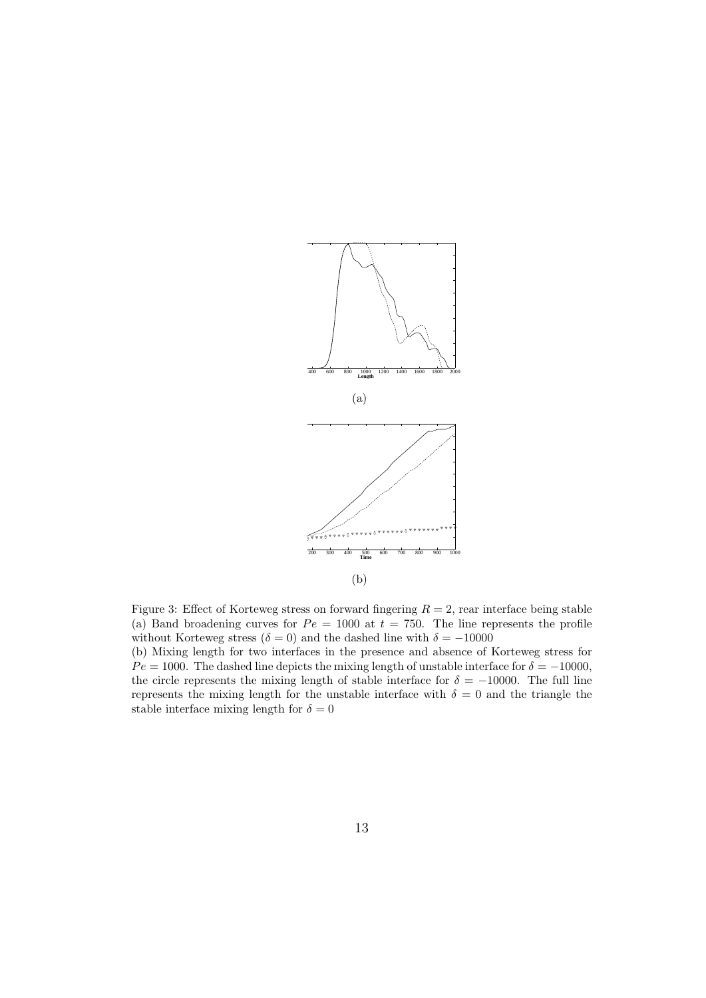

Figure 3: Effect of Korteweg stress on forward fingering  $R = 2$ , rear interface being stable (a) Band broadening curves for  $Pe = 1000$  at  $t = 750$ . The line represents the profile without Korteweg stress ( $\delta = 0$ ) and the dashed line with  $\delta = -10000$ 

(b) Mixing length for two interfaces in the presence and absence of Korteweg stress for  $Pe = 1000$ . The dashed line depicts the mixing length of unstable interface for  $\delta = -10000$ , the circle represents the mixing length of stable interface for  $\delta = -10000$ . The full line represents the mixing length for the unstable interface with  $\delta = 0$  and the triangle the stable interface mixing length for  $\delta = 0$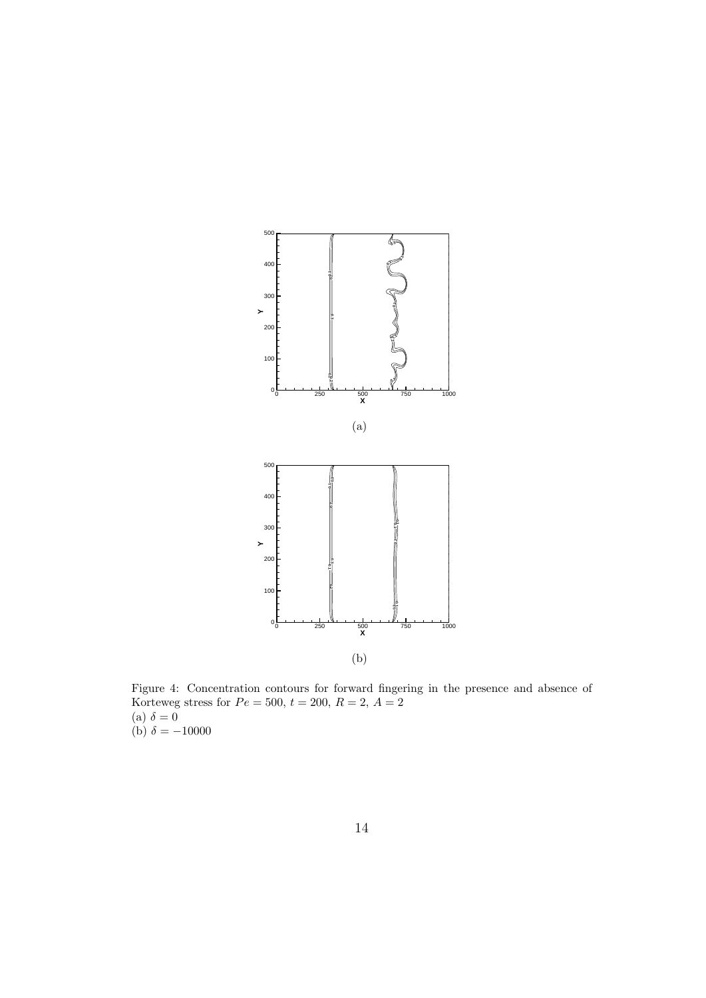

Figure 4: Concentration contours for forward fingering in the presence and absence of Korteweg stress for  $Pe = 500, t = 200, R = 2, A = 2$  $(a) \delta = 0$ (b)  $\delta = -10000$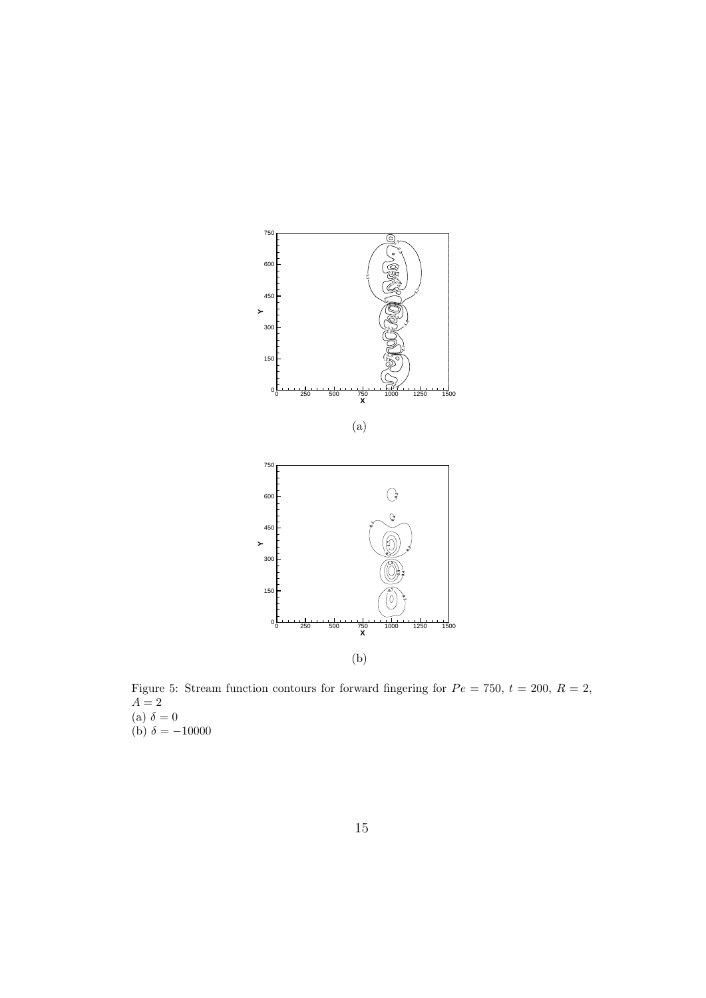

Figure 5: Stream function contours for forward fingering for  $Pe = 750$ ,  $t = 200$ ,  $R = 2$ ,  $A=2$  $(a) \delta = 0$ (b)  $\delta = -10000$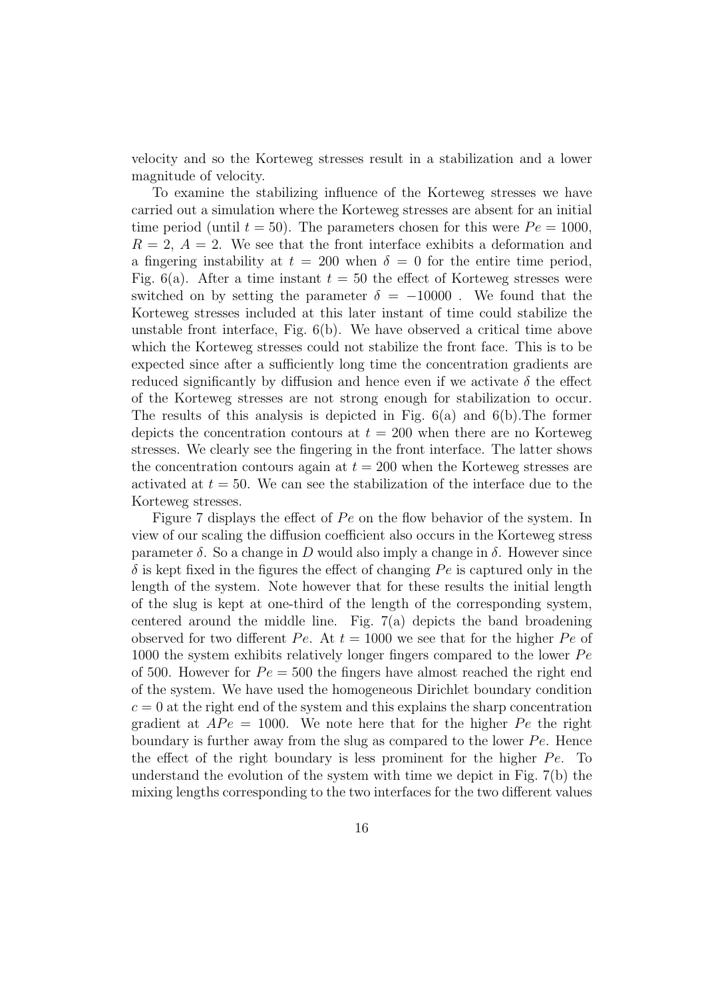velocity and so the Korteweg stresses result in a stabilization and a lower magnitude of velocity.

To examine the stabilizing influence of the Korteweg stresses we have carried out a simulation where the Korteweg stresses are absent for an initial time period (until  $t = 50$ ). The parameters chosen for this were  $Pe = 1000$ ,  $R = 2$ ,  $A = 2$ . We see that the front interface exhibits a deformation and a fingering instability at  $t = 200$  when  $\delta = 0$  for the entire time period, Fig.  $6(a)$ . After a time instant  $t = 50$  the effect of Korteweg stresses were switched on by setting the parameter  $\delta = -10000$ . We found that the Korteweg stresses included at this later instant of time could stabilize the unstable front interface, Fig. 6(b). We have observed a critical time above which the Korteweg stresses could not stabilize the front face. This is to be expected since after a sufficiently long time the concentration gradients are reduced significantly by diffusion and hence even if we activate  $\delta$  the effect of the Korteweg stresses are not strong enough for stabilization to occur. The results of this analysis is depicted in Fig.  $6(a)$  and  $6(b)$ . The former depicts the concentration contours at  $t = 200$  when there are no Korteweg stresses. We clearly see the fingering in the front interface. The latter shows the concentration contours again at  $t = 200$  when the Korteweg stresses are activated at  $t = 50$ . We can see the stabilization of the interface due to the Korteweg stresses.

Figure 7 displays the effect of *Pe* on the flow behavior of the system. In view of our scaling the diffusion coefficient also occurs in the Korteweg stress parameter  $\delta$ . So a change in *D* would also imply a change in  $\delta$ . However since  $\delta$  is kept fixed in the figures the effect of changing  $Pe$  is captured only in the length of the system. Note however that for these results the initial length of the slug is kept at one-third of the length of the corresponding system, centered around the middle line. Fig.  $7(a)$  depicts the band broadening observed for two different *Pe*. At  $t = 1000$  we see that for the higher *Pe* of 1000 the system exhibits relatively longer fingers compared to the lower *P e* of 500. However for  $Pe = 500$  the fingers have almost reached the right end of the system. We have used the homogeneous Dirichlet boundary condition  $c = 0$  at the right end of the system and this explains the sharp concentration gradient at  $APe = 1000$ . We note here that for the higher *Pe* the right boundary is further away from the slug as compared to the lower *P e*. Hence the effect of the right boundary is less prominent for the higher *Pe*. To understand the evolution of the system with time we depict in Fig. 7(b) the mixing lengths corresponding to the two interfaces for the two different values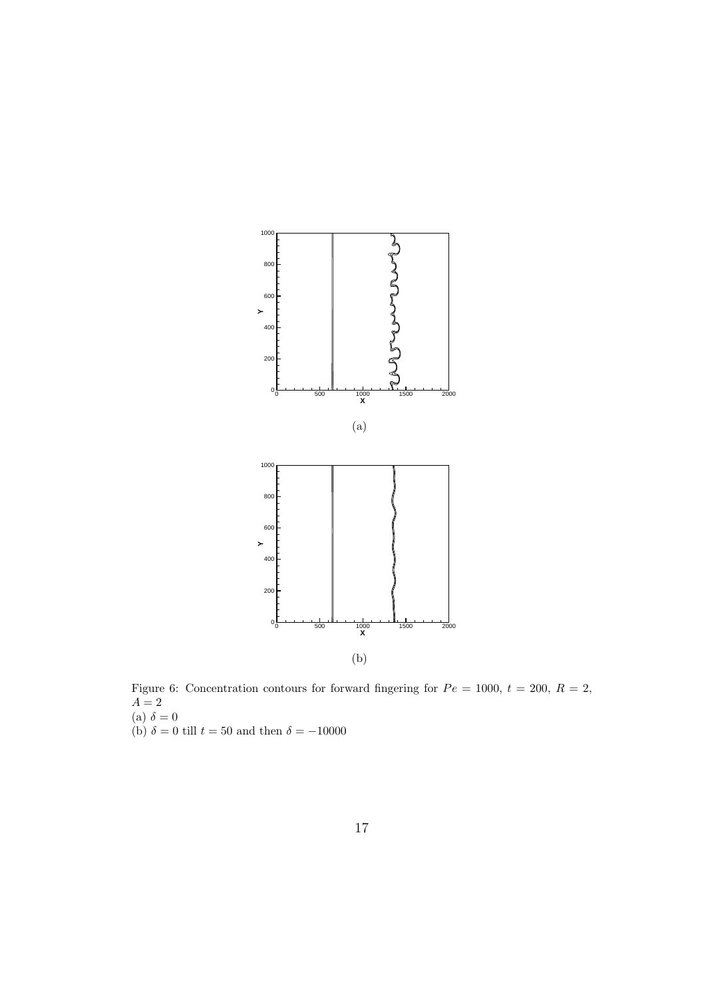

Figure 6: Concentration contours for forward fingering for  $Pe = 1000$ ,  $t = 200$ ,  $R = 2$ ,  $A=2$ (a)  $\delta = 0$ 

(b)  $\delta = 0$  till  $t = 50$  and then  $\delta = -10000$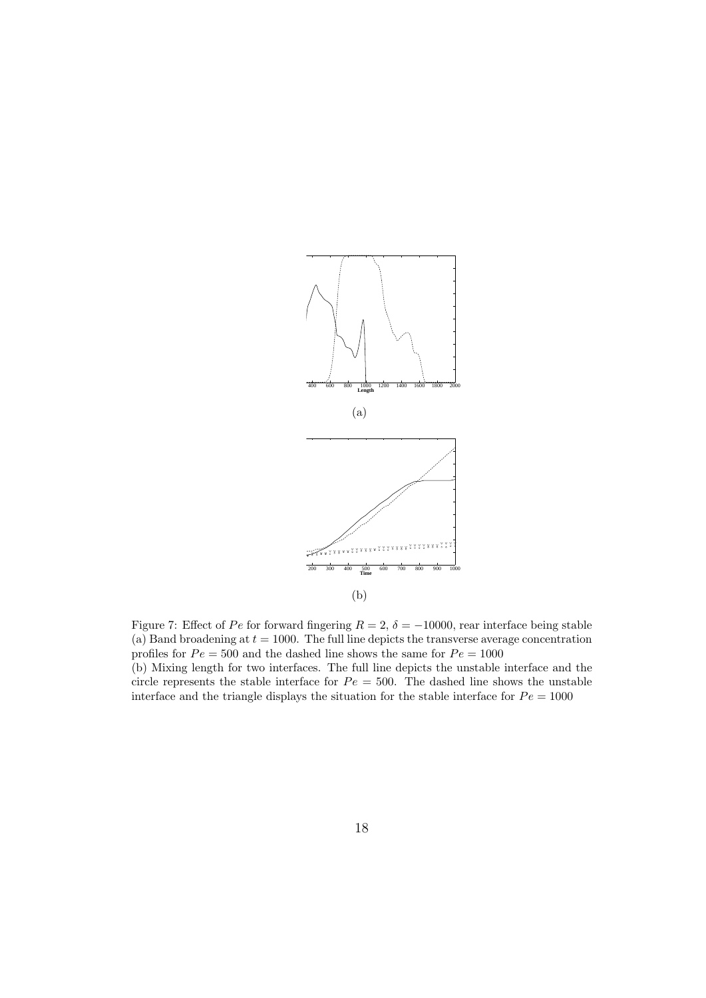

Figure 7: Effect of *Pe* for forward fingering  $R = 2$ ,  $\delta = -10000$ , rear interface being stable (a) Band broadening at  $t = 1000$ . The full line depicts the transverse average concentration profiles for  $Pe = 500$  and the dashed line shows the same for  $Pe = 1000$ (b) Mixing length for two interfaces. The full line depicts the unstable interface and the circle represents the stable interface for  $Pe = 500$ . The dashed line shows the unstable interface and the triangle displays the situation for the stable interface for  $Pe = 1000$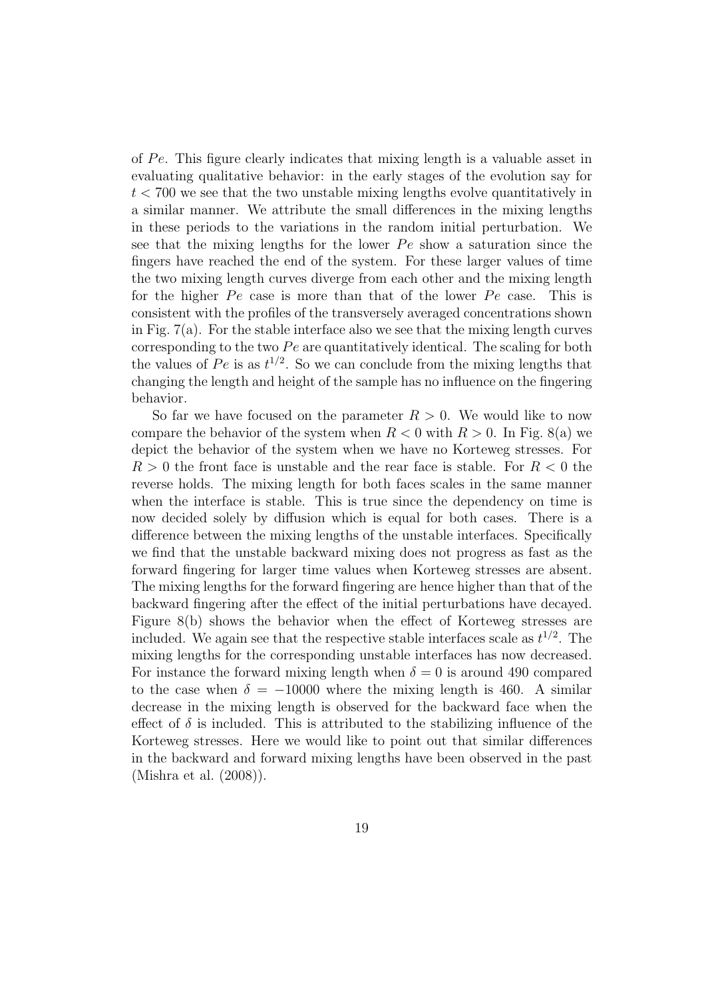of *P e*. This figure clearly indicates that mixing length is a valuable asset in evaluating qualitative behavior: in the early stages of the evolution say for *t <* 700 we see that the two unstable mixing lengths evolve quantitatively in a similar manner. We attribute the small differences in the mixing lengths in these periods to the variations in the random initial perturbation. We see that the mixing lengths for the lower *Pe* show a saturation since the fingers have reached the end of the system. For these larger values of time the two mixing length curves diverge from each other and the mixing length for the higher *Pe* case is more than that of the lower *Pe* case. This is consistent with the profiles of the transversely averaged concentrations shown in Fig. 7(a). For the stable interface also we see that the mixing length curves corresponding to the two *Pe* are quantitatively identical. The scaling for both the values of  $Pe$  is as  $t^{1/2}$ . So we can conclude from the mixing lengths that changing the length and height of the sample has no influence on the fingering behavior.

So far we have focused on the parameter  $R > 0$ . We would like to now compare the behavior of the system when  $R < 0$  with  $R > 0$ . In Fig. 8(a) we depict the behavior of the system when we have no Korteweg stresses. For *R >* 0 the front face is unstable and the rear face is stable. For *R <* 0 the reverse holds. The mixing length for both faces scales in the same manner when the interface is stable. This is true since the dependency on time is now decided solely by diffusion which is equal for both cases. There is a difference between the mixing lengths of the unstable interfaces. Specifically we find that the unstable backward mixing does not progress as fast as the forward fingering for larger time values when Korteweg stresses are absent. The mixing lengths for the forward fingering are hence higher than that of the backward fingering after the effect of the initial perturbations have decayed. Figure 8(b) shows the behavior when the effect of Korteweg stresses are included. We again see that the respective stable interfaces scale as  $t^{1/2}$ . The mixing lengths for the corresponding unstable interfaces has now decreased. For instance the forward mixing length when  $\delta = 0$  is around 490 compared to the case when  $\delta = -10000$  where the mixing length is 460. A similar decrease in the mixing length is observed for the backward face when the effect of  $\delta$  is included. This is attributed to the stabilizing influence of the Korteweg stresses. Here we would like to point out that similar differences in the backward and forward mixing lengths have been observed in the past (Mishra et al. (2008)).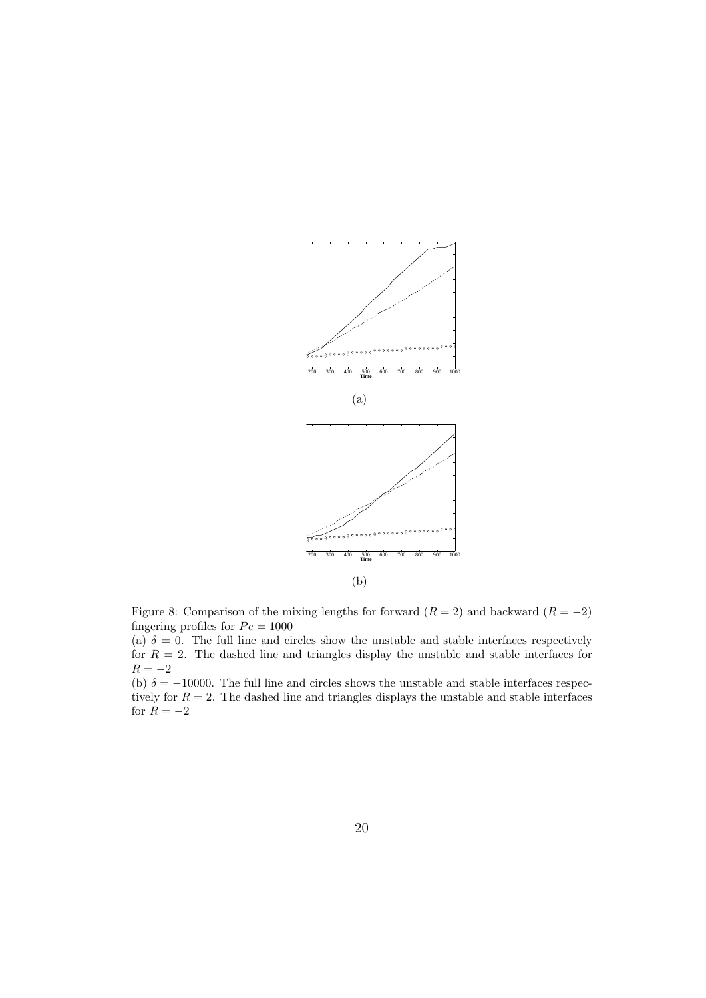

Figure 8: Comparison of the mixing lengths for forward  $(R = 2)$  and backward  $(R = -2)$ fingering profiles for  $Pe = 1000$ 

(a)  $\delta = 0$ . The full line and circles show the unstable and stable interfaces respectively for  $R = 2$ . The dashed line and triangles display the unstable and stable interfaces for *R* = *−*2

(b)  $\delta = -10000$ . The full line and circles shows the unstable and stable interfaces respectively for  $R = 2$ . The dashed line and triangles displays the unstable and stable interfaces for  $R = -2$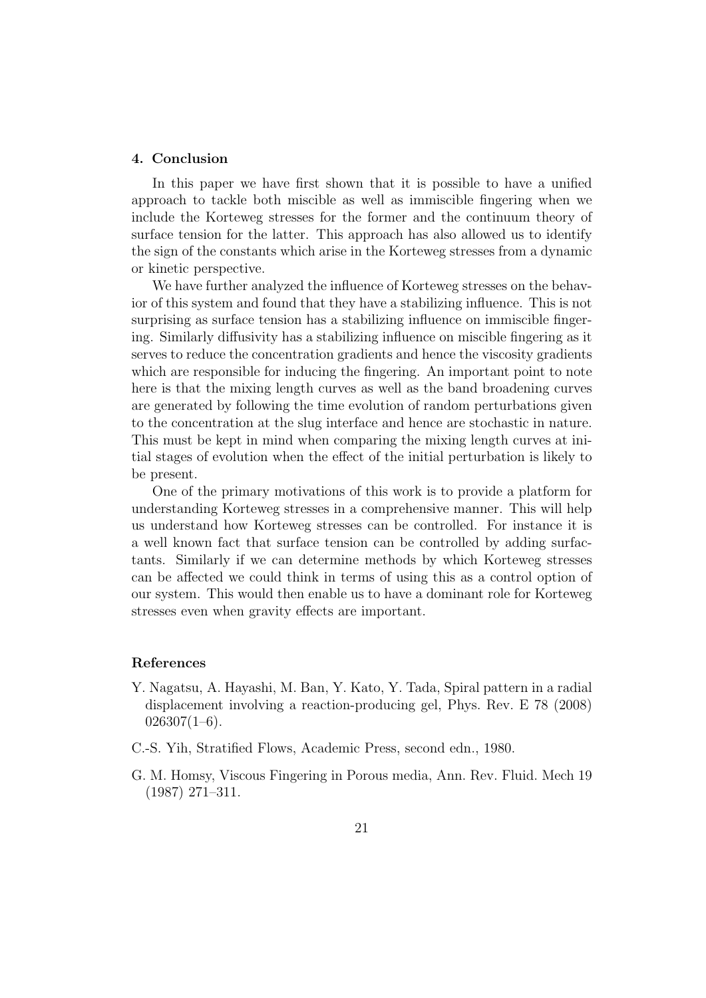## **4. Conclusion**

In this paper we have first shown that it is possible to have a unified approach to tackle both miscible as well as immiscible fingering when we include the Korteweg stresses for the former and the continuum theory of surface tension for the latter. This approach has also allowed us to identify the sign of the constants which arise in the Korteweg stresses from a dynamic or kinetic perspective.

We have further analyzed the influence of Korteweg stresses on the behavior of this system and found that they have a stabilizing influence. This is not surprising as surface tension has a stabilizing influence on immiscible fingering. Similarly diffusivity has a stabilizing influence on miscible fingering as it serves to reduce the concentration gradients and hence the viscosity gradients which are responsible for inducing the fingering. An important point to note here is that the mixing length curves as well as the band broadening curves are generated by following the time evolution of random perturbations given to the concentration at the slug interface and hence are stochastic in nature. This must be kept in mind when comparing the mixing length curves at initial stages of evolution when the effect of the initial perturbation is likely to be present.

One of the primary motivations of this work is to provide a platform for understanding Korteweg stresses in a comprehensive manner. This will help us understand how Korteweg stresses can be controlled. For instance it is a well known fact that surface tension can be controlled by adding surfactants. Similarly if we can determine methods by which Korteweg stresses can be affected we could think in terms of using this as a control option of our system. This would then enable us to have a dominant role for Korteweg stresses even when gravity effects are important.

## **References**

- Y. Nagatsu, A. Hayashi, M. Ban, Y. Kato, Y. Tada, Spiral pattern in a radial displacement involving a reaction-producing gel, Phys. Rev. E 78 (2008)  $026307(1-6)$ .
- C.-S. Yih, Stratified Flows, Academic Press, second edn., 1980.
- G. M. Homsy, Viscous Fingering in Porous media, Ann. Rev. Fluid. Mech 19 (1987) 271–311.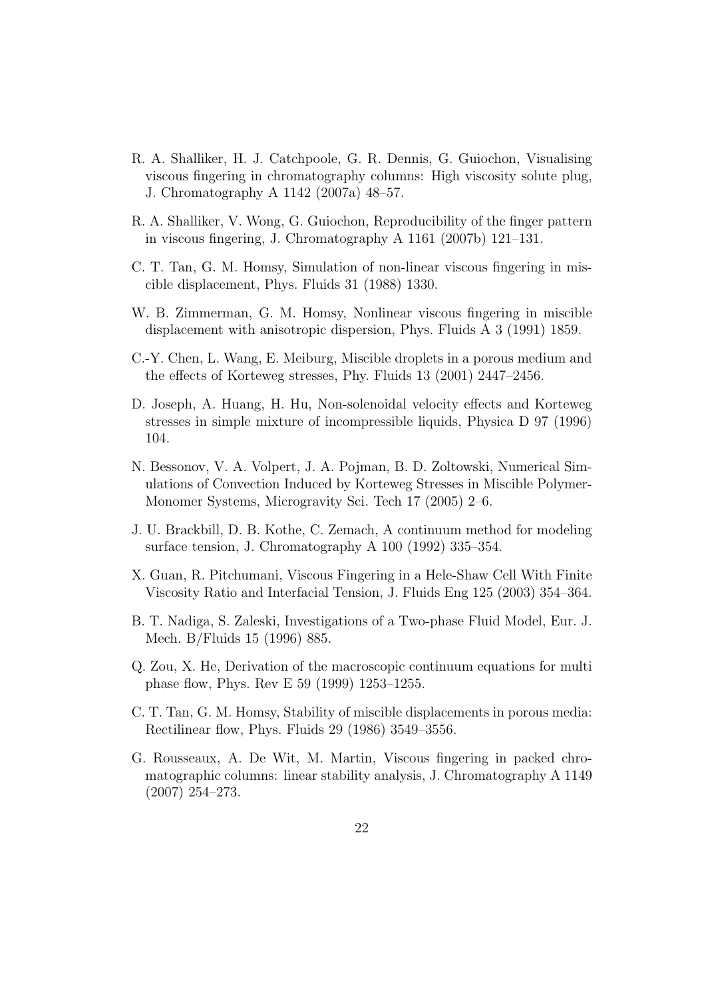- R. A. Shalliker, H. J. Catchpoole, G. R. Dennis, G. Guiochon, Visualising viscous fingering in chromatography columns: High viscosity solute plug, J. Chromatography A 1142 (2007a) 48–57.
- R. A. Shalliker, V. Wong, G. Guiochon, Reproducibility of the finger pattern in viscous fingering, J. Chromatography A 1161 (2007b) 121–131.
- C. T. Tan, G. M. Homsy, Simulation of non-linear viscous fingering in miscible displacement, Phys. Fluids 31 (1988) 1330.
- W. B. Zimmerman, G. M. Homsy, Nonlinear viscous fingering in miscible displacement with anisotropic dispersion, Phys. Fluids A 3 (1991) 1859.
- C.-Y. Chen, L. Wang, E. Meiburg, Miscible droplets in a porous medium and the effects of Korteweg stresses, Phy. Fluids 13 (2001) 2447–2456.
- D. Joseph, A. Huang, H. Hu, Non-solenoidal velocity effects and Korteweg stresses in simple mixture of incompressible liquids, Physica D 97 (1996) 104.
- N. Bessonov, V. A. Volpert, J. A. Pojman, B. D. Zoltowski, Numerical Simulations of Convection Induced by Korteweg Stresses in Miscible Polymer-Monomer Systems, Microgravity Sci. Tech 17 (2005) 2–6.
- J. U. Brackbill, D. B. Kothe, C. Zemach, A continuum method for modeling surface tension, J. Chromatography A 100 (1992) 335–354.
- X. Guan, R. Pitchumani, Viscous Fingering in a Hele-Shaw Cell With Finite Viscosity Ratio and Interfacial Tension, J. Fluids Eng 125 (2003) 354–364.
- B. T. Nadiga, S. Zaleski, Investigations of a Two-phase Fluid Model, Eur. J. Mech. B/Fluids 15 (1996) 885.
- Q. Zou, X. He, Derivation of the macroscopic continuum equations for multi phase flow, Phys. Rev E 59 (1999) 1253–1255.
- C. T. Tan, G. M. Homsy, Stability of miscible displacements in porous media: Rectilinear flow, Phys. Fluids 29 (1986) 3549–3556.
- G. Rousseaux, A. De Wit, M. Martin, Viscous fingering in packed chromatographic columns: linear stability analysis, J. Chromatography A 1149 (2007) 254–273.